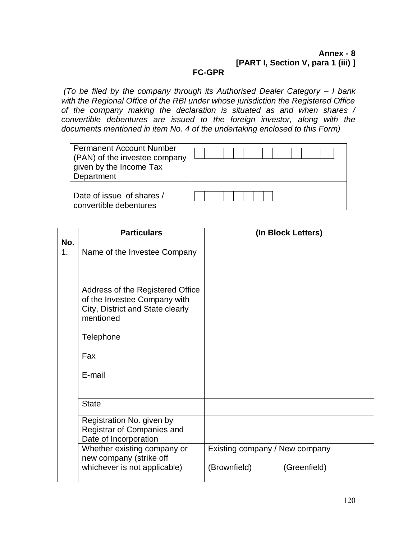#### **Annex - 8 [PART I, Section V, para 1 (iii) ] FC-GPR**

*(To be filed by the company through its Authorised Dealer Category – I bank*  with the Regional Office of the RBI under whose jurisdiction the Registered Office *of the company making the declaration is situated as and when shares / convertible debentures are issued to the foreign investor, along with the documents mentioned in item No. 4 of the undertaking enclosed to this Form)*

| <b>Permanent Account Number</b><br>(PAN) of the investee company<br>given by the Income Tax<br>Department |  |
|-----------------------------------------------------------------------------------------------------------|--|
|                                                                                                           |  |
| Date of issue of shares /                                                                                 |  |
| convertible debentures                                                                                    |  |

| No. | <b>Particulars</b>                                                                                                | (In Block Letters)             |
|-----|-------------------------------------------------------------------------------------------------------------------|--------------------------------|
|     |                                                                                                                   |                                |
| 1.  | Name of the Investee Company                                                                                      |                                |
|     | Address of the Registered Office<br>of the Investee Company with<br>City, District and State clearly<br>mentioned |                                |
|     | Telephone                                                                                                         |                                |
|     | Fax                                                                                                               |                                |
|     | E-mail                                                                                                            |                                |
|     | <b>State</b>                                                                                                      |                                |
|     | Registration No. given by<br>Registrar of Companies and<br>Date of Incorporation                                  |                                |
|     | Whether existing company or<br>new company (strike off                                                            | Existing company / New company |
|     | whichever is not applicable)                                                                                      | (Brownfield)<br>(Greenfield)   |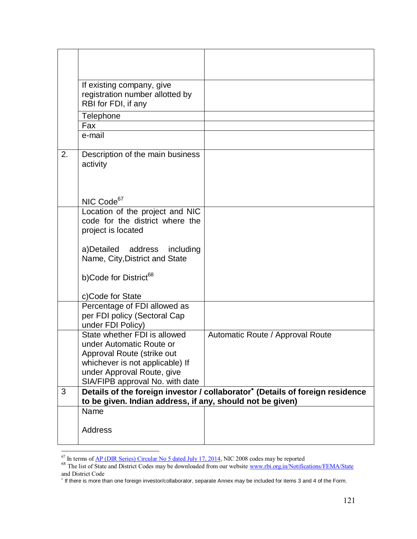|    | If existing company, give<br>registration number allotted by<br>RBI for FDI, if any |                                                                               |
|----|-------------------------------------------------------------------------------------|-------------------------------------------------------------------------------|
|    | Telephone                                                                           |                                                                               |
|    | Fax                                                                                 |                                                                               |
|    | e-mail                                                                              |                                                                               |
| 2. | Description of the main business<br>activity                                        |                                                                               |
|    | NIC Code <sup>67</sup>                                                              |                                                                               |
|    | Location of the project and NIC                                                     |                                                                               |
|    | code for the district where the                                                     |                                                                               |
|    | project is located                                                                  |                                                                               |
|    | a)Detailed address including<br>Name, City, District and State                      |                                                                               |
|    | b)Code for District <sup>68</sup>                                                   |                                                                               |
|    | c)Code for State                                                                    |                                                                               |
|    | Percentage of FDI allowed as                                                        |                                                                               |
|    | per FDI policy (Sectoral Cap                                                        |                                                                               |
|    | under FDI Policy)                                                                   |                                                                               |
|    | State whether FDI is allowed<br>under Automatic Route or                            | Automatic Route / Approval Route                                              |
|    | Approval Route (strike out                                                          |                                                                               |
|    | whichever is not applicable) If                                                     |                                                                               |
|    | under Approval Route, give                                                          |                                                                               |
|    | SIA/FIPB approval No. with date                                                     |                                                                               |
| 3  | to be given. Indian address, if any, should not be given)                           | Details of the foreign investor / collaborator* (Details of foreign residence |
|    | Name                                                                                |                                                                               |
|    |                                                                                     |                                                                               |
|    | <b>Address</b>                                                                      |                                                                               |
|    |                                                                                     |                                                                               |

<sup>&</sup>lt;sup>67</sup> In terms of <u>AP (DIR Series) Circular No 5 dated July 17, 2014</u>, NIC 2008 codes may be reported

 $\overline{a}$ 

<sup>&</sup>lt;sup>68</sup> The list of State and District Codes may be downloaded from our websit[e www.rbi.org.in/Notifications/FEMA/State](http://www.rbi.org.in/Notifications/FEMA/State) and District Code

If there is more than one foreign investor/collaborator, separate Annex may be included for items 3 and 4 of the Form.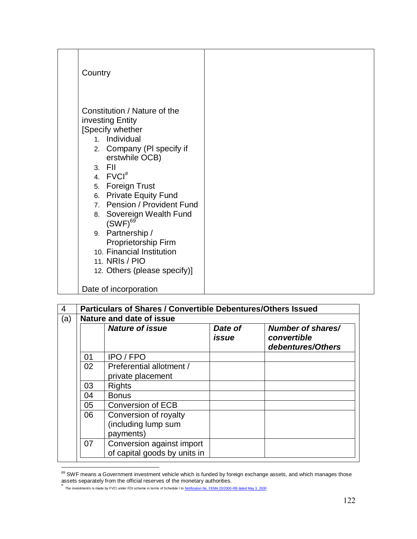| Country                                                                                                                                                                                                                                                                                                                                                                                                                     |  |
|-----------------------------------------------------------------------------------------------------------------------------------------------------------------------------------------------------------------------------------------------------------------------------------------------------------------------------------------------------------------------------------------------------------------------------|--|
| Constitution / Nature of the<br>investing Entity<br>[Specify whether<br>1. Individual<br>2. Company (PI specify if<br>erstwhile OCB)<br>$3.$ FII<br>4. FVCI <sup>#</sup><br>5. Foreign Trust<br>6. Private Equity Fund<br>7. Pension / Provident Fund<br>8. Sovereign Wealth Fund<br>$(SWF)^{69}$<br>9. Partnership /<br>Proprietorship Firm<br>10. Financial Institution<br>11. NRIs / PIO<br>12. Others (please specify)] |  |
| Date of incorporation                                                                                                                                                                                                                                                                                                                                                                                                       |  |

| 4   | <b>Particulars of Shares / Convertible Debentures/Others Issued</b> |                                                           |                  |                                                       |  |  |  |  |  |  |  |
|-----|---------------------------------------------------------------------|-----------------------------------------------------------|------------------|-------------------------------------------------------|--|--|--|--|--|--|--|
| (a) | Nature and date of issue                                            |                                                           |                  |                                                       |  |  |  |  |  |  |  |
|     |                                                                     | <b>Nature of issue</b>                                    | Date of<br>issue | Number of shares/<br>convertible<br>debentures/Others |  |  |  |  |  |  |  |
|     | 01                                                                  | <b>IPO/FPO</b>                                            |                  |                                                       |  |  |  |  |  |  |  |
|     | 02                                                                  | Preferential allotment /<br>private placement             |                  |                                                       |  |  |  |  |  |  |  |
|     | 03                                                                  | Rights                                                    |                  |                                                       |  |  |  |  |  |  |  |
|     | 04                                                                  | <b>Bonus</b>                                              |                  |                                                       |  |  |  |  |  |  |  |
|     | 05                                                                  | <b>Conversion of ECB</b>                                  |                  |                                                       |  |  |  |  |  |  |  |
|     | 06                                                                  | Conversion of royalty<br>(including lump sum<br>payments) |                  |                                                       |  |  |  |  |  |  |  |
|     | 07                                                                  | Conversion against import<br>of capital goods by units in |                  |                                                       |  |  |  |  |  |  |  |

 $\overline{a}$  $^{69}$  SWF means a Government investment vehicle which is funded by foreign exchange assets, and which manages those assets separately from the official reserves of the monetary authorities.<br>#<br>he investment/s is made by FVCI under FDI scheme in terms of Schedule I to <u>Notification No. FEMA 20/2000-RB dated May 3, 2000</u>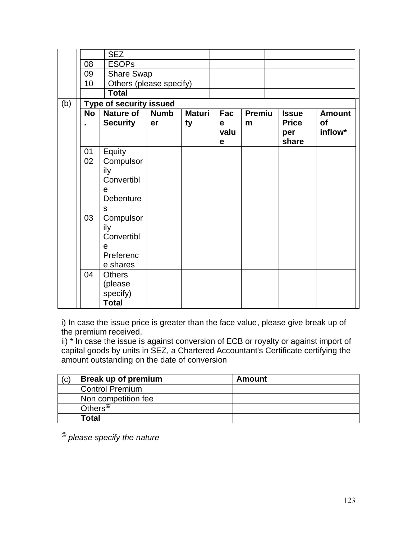|     |           | <b>SEZ</b>                                                        |             |               |                          |               |                              |               |
|-----|-----------|-------------------------------------------------------------------|-------------|---------------|--------------------------|---------------|------------------------------|---------------|
|     | 08        | <b>ESOPs</b>                                                      |             |               |                          |               |                              |               |
|     | 09        | <b>Share Swap</b>                                                 |             |               |                          |               |                              |               |
|     | 10        | Others (please specify)                                           |             |               |                          |               |                              |               |
|     |           | <b>Total</b>                                                      |             |               |                          |               |                              |               |
| (b) |           | <b>Type of security issued</b>                                    |             |               |                          |               |                              |               |
|     | <b>No</b> | <b>Nature of</b>                                                  | <b>Numb</b> | <b>Maturi</b> | Fac                      | <b>Premiu</b> | <b>Issue</b>                 | <b>Amount</b> |
|     |           | <b>Security</b>                                                   | er          | ty            | $\mathbf e$<br>valu<br>e | m             | <b>Price</b><br>per<br>share | of<br>inflow* |
|     | 01        | Equity                                                            |             |               |                          |               |                              |               |
|     | 02        | Compulsor<br>ily<br>Convertibl<br>e<br>Debenture<br>${\mathsf S}$ |             |               |                          |               |                              |               |
|     | 03        | Compulsor<br>ily<br>Convertibl<br>e<br>Preferenc<br>e shares      |             |               |                          |               |                              |               |
|     | 04        | <b>Others</b><br>(please<br>specify)                              |             |               |                          |               |                              |               |
|     |           | <b>Total</b>                                                      |             |               |                          |               |                              |               |

i) In case the issue price is greater than the face value, please give break up of the premium received.

ii) \* In case the issue is against conversion of ECB or royalty or against import of capital goods by units in SEZ, a Chartered Accountant's Certificate certifying the amount outstanding on the date of conversion

| (c) | Break up of premium            | <b>Amount</b> |
|-----|--------------------------------|---------------|
|     | <b>Control Premium</b>         |               |
|     | Non competition fee            |               |
|     | Others <sup><sup>@</sup></sup> |               |
|     | Total                          |               |

@ *please specify the nature*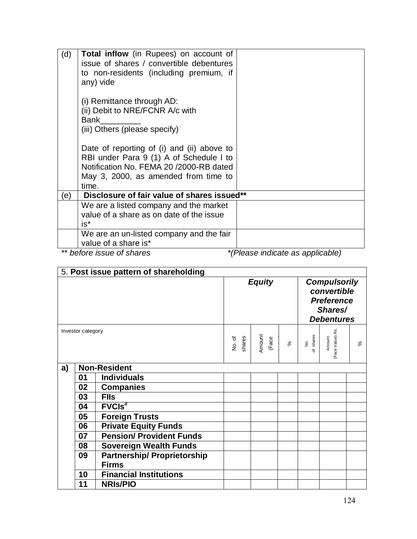| (d) | <b>Total inflow</b> (in Rupees) on account of |                                  |
|-----|-----------------------------------------------|----------------------------------|
|     |                                               |                                  |
|     | issue of shares / convertible debentures      |                                  |
|     | to non-residents (including premium, if       |                                  |
|     | any) vide                                     |                                  |
|     |                                               |                                  |
|     | (i) Remittance through AD:                    |                                  |
|     | (ii) Debit to NRE/FCNR A/c with               |                                  |
|     | Bank                                          |                                  |
|     |                                               |                                  |
|     | (iii) Others (please specify)                 |                                  |
|     |                                               |                                  |
|     | Date of reporting of (i) and (ii) above to    |                                  |
|     | RBI under Para 9 (1) A of Schedule I to       |                                  |
|     | Notification No. FEMA 20 / 2000-RB dated      |                                  |
|     | May 3, 2000, as amended from time to          |                                  |
|     | time.                                         |                                  |
| e)  | Disclosure of fair value of shares issued**   |                                  |
|     | We are a listed company and the market        |                                  |
|     | value of a share as on date of the issue      |                                  |
|     |                                               |                                  |
|     | $is*$                                         |                                  |
|     | We are an un-listed company and the fair      |                                  |
|     | value of a share is*                          |                                  |
|     | ** before issue of shares                     | *(Please indicate as applicable) |

5. **Post issue pattern of shareholding**  *Equity Compulsorily convertible Preference Shares/ Debentures* Investor category No. of shares Amount (Face  $\frac{1}{2}$  $\%$ No.<br>of shares shares Amount<br>(Face Value) Rs. (Face Value) Rs.  $\aleph$ **a) Non-Resident 01 Individuals 02 Companies 03 FIIs 04 FVCIs# 05 Foreign Trusts 06 Private Equity Funds 07 Pension/ Provident Funds 08 Sovereign Wealth Funds 09 Partnership/ Proprietorship Firms 10 Financial Institutions 11 NRIs/PIO**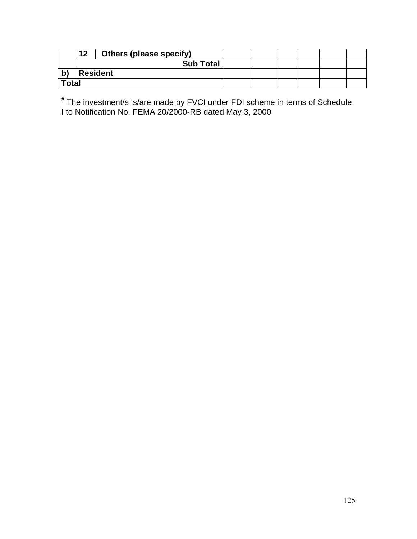|              | 12 | <b>Others (please specify)</b> |  |  |  |
|--------------|----|--------------------------------|--|--|--|
|              |    | <b>Sub Total</b>               |  |  |  |
| b'           |    | <b>Resident</b>                |  |  |  |
| <b>Total</b> |    |                                |  |  |  |

**#** The investment/s is/are made by FVCI under FDI scheme in terms of Schedule I to Notification No. FEMA 20/2000-RB dated May 3, 2000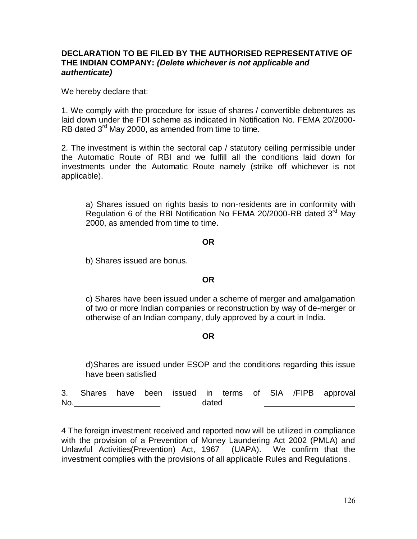### **DECLARATION TO BE FILED BY THE AUTHORISED REPRESENTATIVE OF THE INDIAN COMPANY:** *(Delete whichever is not applicable and authenticate)*

We hereby declare that:

1. We comply with the procedure for issue of shares / convertible debentures as laid down under the FDI scheme as indicated in Notification No. FEMA 20/2000- RB dated  $3<sup>rd</sup>$  May 2000, as amended from time to time.

2. The investment is within the sectoral cap / statutory ceiling permissible under the Automatic Route of RBI and we fulfill all the conditions laid down for investments under the Automatic Route namely (strike off whichever is not applicable).

a) Shares issued on rights basis to non-residents are in conformity with Regulation 6 of the RBI Notification No FEMA 20/2000-RB dated 3<sup>rd</sup> May 2000, as amended from time to time.

#### **OR**

b) Shares issued are bonus.

### **OR**

c) Shares have been issued under a scheme of merger and amalgamation of two or more Indian companies or reconstruction by way of de-merger or otherwise of an Indian company, duly approved by a court in India.

### **OR**

d)Shares are issued under ESOP and the conditions regarding this issue have been satisfied

|           |  |  |       |  |  | 3. Shares have been issued in terms of SIA /FIPB approval |
|-----------|--|--|-------|--|--|-----------------------------------------------------------|
| <b>No</b> |  |  | dated |  |  |                                                           |

4 The foreign investment received and reported now will be utilized in compliance with the provision of a Prevention of Money Laundering Act 2002 (PMLA) and Unlawful Activities(Prevention) Act, 1967 (UAPA). We confirm that the investment complies with the provisions of all applicable Rules and Regulations.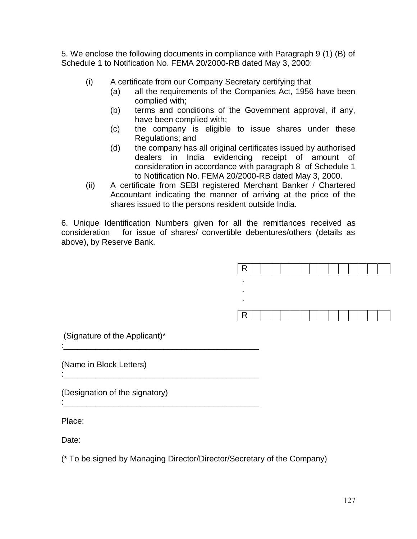5. We enclose the following documents in compliance with Paragraph 9 (1) (B) of Schedule 1 to Notification No. FEMA 20/2000-RB dated May 3, 2000:

- (i) A certificate from our Company Secretary certifying that
	- (a) all the requirements of the Companies Act, 1956 have been complied with;
	- (b) terms and conditions of the Government approval, if any, have been complied with;
	- (c) the company is eligible to issue shares under these Regulations; and
	- (d) the company has all original certificates issued by authorised dealers in India evidencing receipt of amount of consideration in accordance with paragraph 8 of Schedule 1 to Notification No. FEMA 20/2000-RB dated May 3, 2000.
- (ii) A certificate from SEBI registered Merchant Banker / Chartered Accountant indicating the manner of arriving at the price of the shares issued to the persons resident outside India.

6. Unique Identification Numbers given for all the remittances received as consideration for issue of shares/ convertible debentures/others (details as above), by Reserve Bank.



(Signature of the Applicant)\*

:\_\_\_\_\_\_\_\_\_\_\_\_\_\_\_\_\_\_\_\_\_\_\_\_\_\_\_\_\_\_\_\_\_\_\_\_\_\_\_\_\_\_\_

:\_\_\_\_\_\_\_\_\_\_\_\_\_\_\_\_\_\_\_\_\_\_\_\_\_\_\_\_\_\_\_\_\_\_\_\_\_\_\_\_\_\_\_

(Name in Block Letters) :\_\_\_\_\_\_\_\_\_\_\_\_\_\_\_\_\_\_\_\_\_\_\_\_\_\_\_\_\_\_\_\_\_\_\_\_\_\_\_\_\_\_\_

(Designation of the signatory)

Place:

Date:

(\* To be signed by Managing Director/Director/Secretary of the Company)